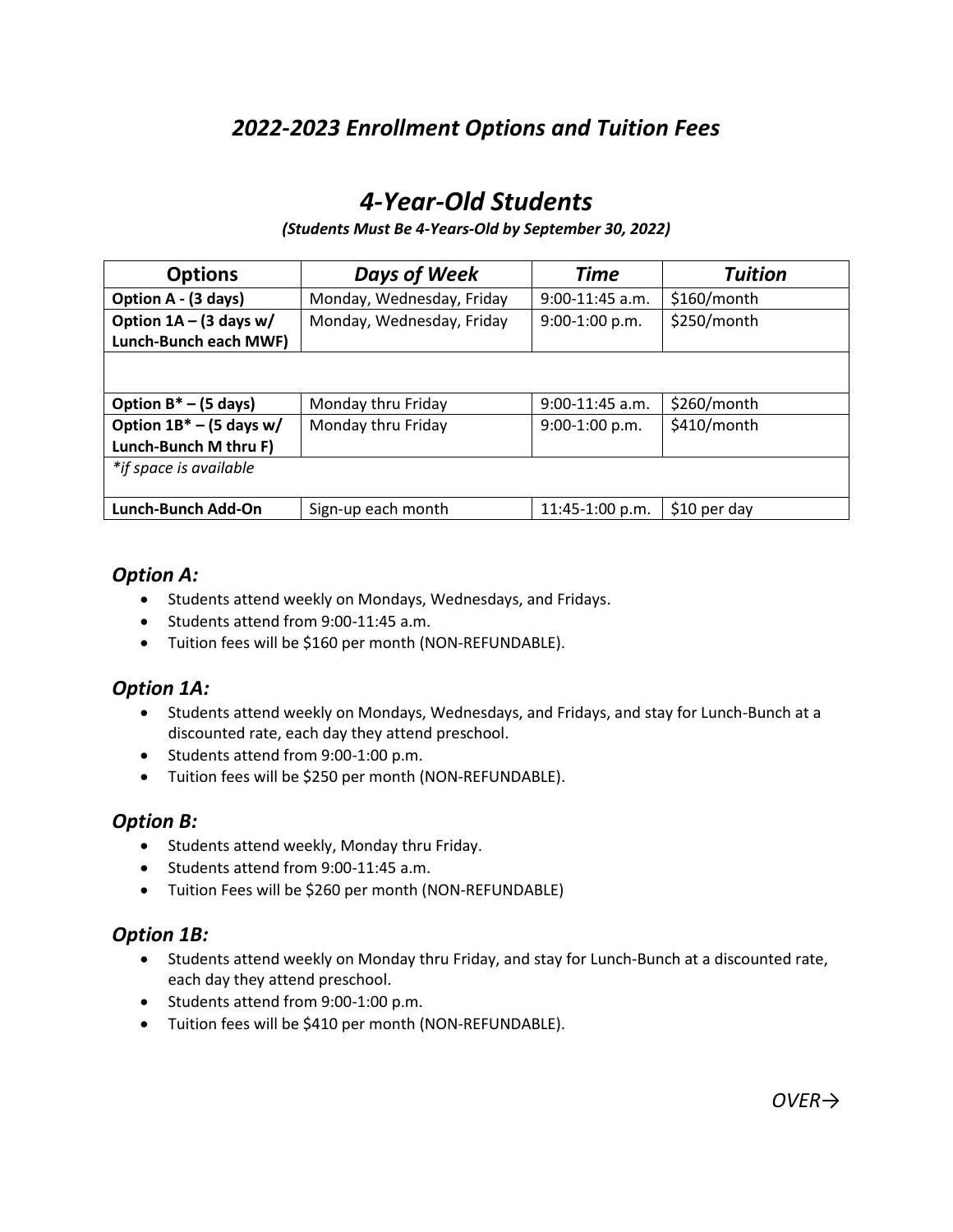# *2022-2023 Enrollment Options and Tuition Fees*

# *4-Year-Old Students*

#### *(Students Must Be 4-Years-Old by September 30, 2022)*

| <b>Options</b>             | <b>Days of Week</b>       | <b>Time</b>       | <b>Tuition</b> |
|----------------------------|---------------------------|-------------------|----------------|
| Option A - (3 days)        | Monday, Wednesday, Friday | $9:00-11:45$ a.m. | \$160/month    |
| Option $1A - (3$ days w/   | Monday, Wednesday, Friday | 9:00-1:00 p.m.    | \$250/month    |
| Lunch-Bunch each MWF)      |                           |                   |                |
|                            |                           |                   |                |
| Option $B^*$ – (5 days)    | Monday thru Friday        | $9:00-11:45$ a.m. | \$260/month    |
| Option $1B^*$ – (5 days w/ | Monday thru Friday        | 9:00-1:00 p.m.    | \$410/month    |
| Lunch-Bunch M thru F)      |                           |                   |                |
| *if space is available     |                           |                   |                |
| Lunch-Bunch Add-On         | Sign-up each month        | 11:45-1:00 p.m.   | $$10$ per day  |

### *Option A:*

- Students attend weekly on Mondays, Wednesdays, and Fridays.
- Students attend from 9:00-11:45 a.m.
- Tuition fees will be \$160 per month (NON-REFUNDABLE).

### *Option 1A:*

- Students attend weekly on Mondays, Wednesdays, and Fridays, and stay for Lunch-Bunch at a discounted rate, each day they attend preschool.
- Students attend from 9:00-1:00 p.m.
- Tuition fees will be \$250 per month (NON-REFUNDABLE).

## *Option B:*

- Students attend weekly, Monday thru Friday.
- Students attend from 9:00-11:45 a.m.
- Tuition Fees will be \$260 per month (NON-REFUNDABLE)

## *Option 1B:*

- Students attend weekly on Monday thru Friday, and stay for Lunch-Bunch at a discounted rate, each day they attend preschool.
- Students attend from 9:00-1:00 p.m.
- Tuition fees will be \$410 per month (NON-REFUNDABLE).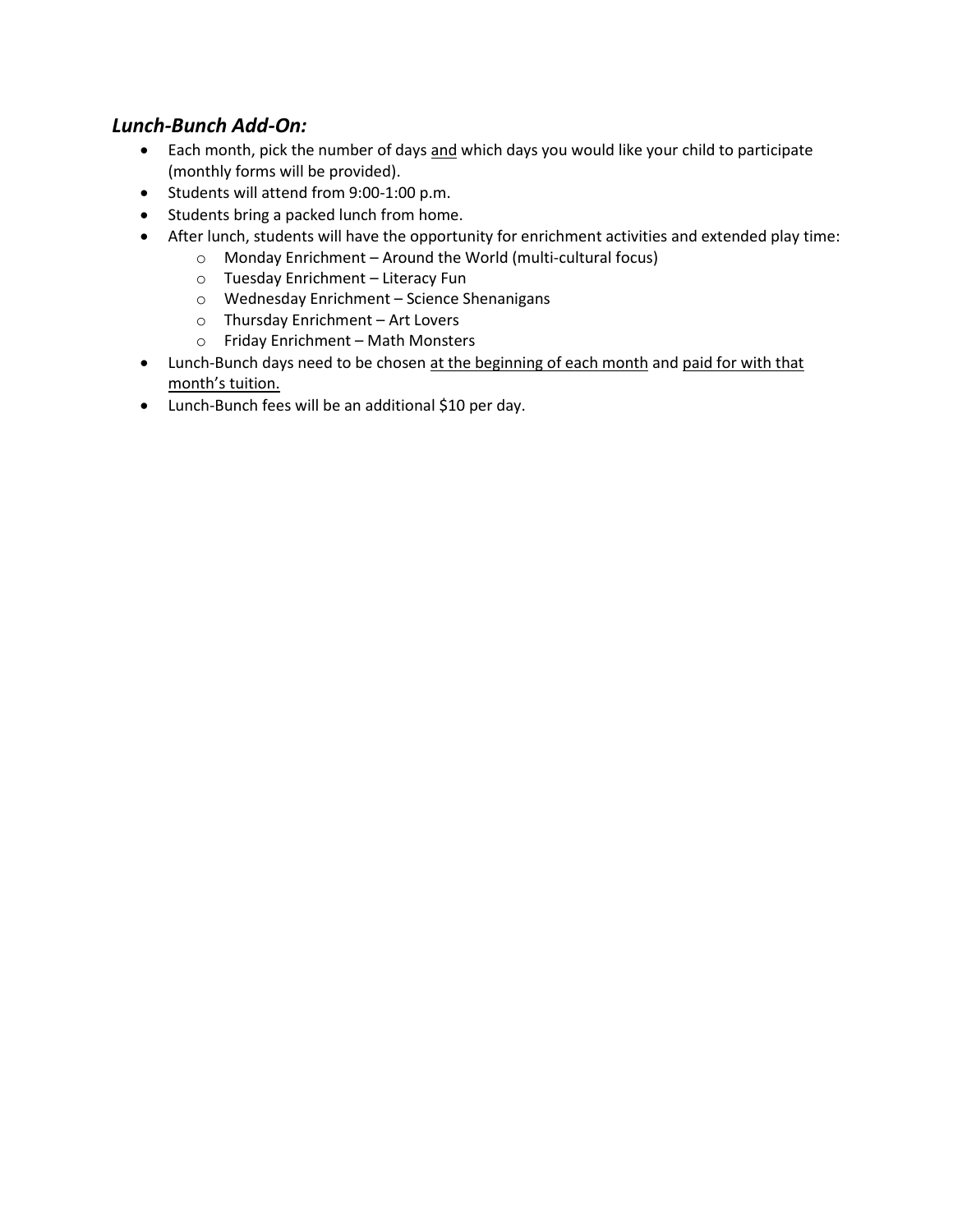## *Lunch-Bunch Add-On:*

- Each month, pick the number of days and which days you would like your child to participate (monthly forms will be provided).
- Students will attend from 9:00-1:00 p.m.
- Students bring a packed lunch from home.
- After lunch, students will have the opportunity for enrichment activities and extended play time:
	- o Monday Enrichment Around the World (multi-cultural focus)
	- o Tuesday Enrichment Literacy Fun
	- o Wednesday Enrichment Science Shenanigans
	- o Thursday Enrichment Art Lovers
	- o Friday Enrichment Math Monsters
- Lunch-Bunch days need to be chosen at the beginning of each month and paid for with that month's tuition.
- Lunch-Bunch fees will be an additional \$10 per day.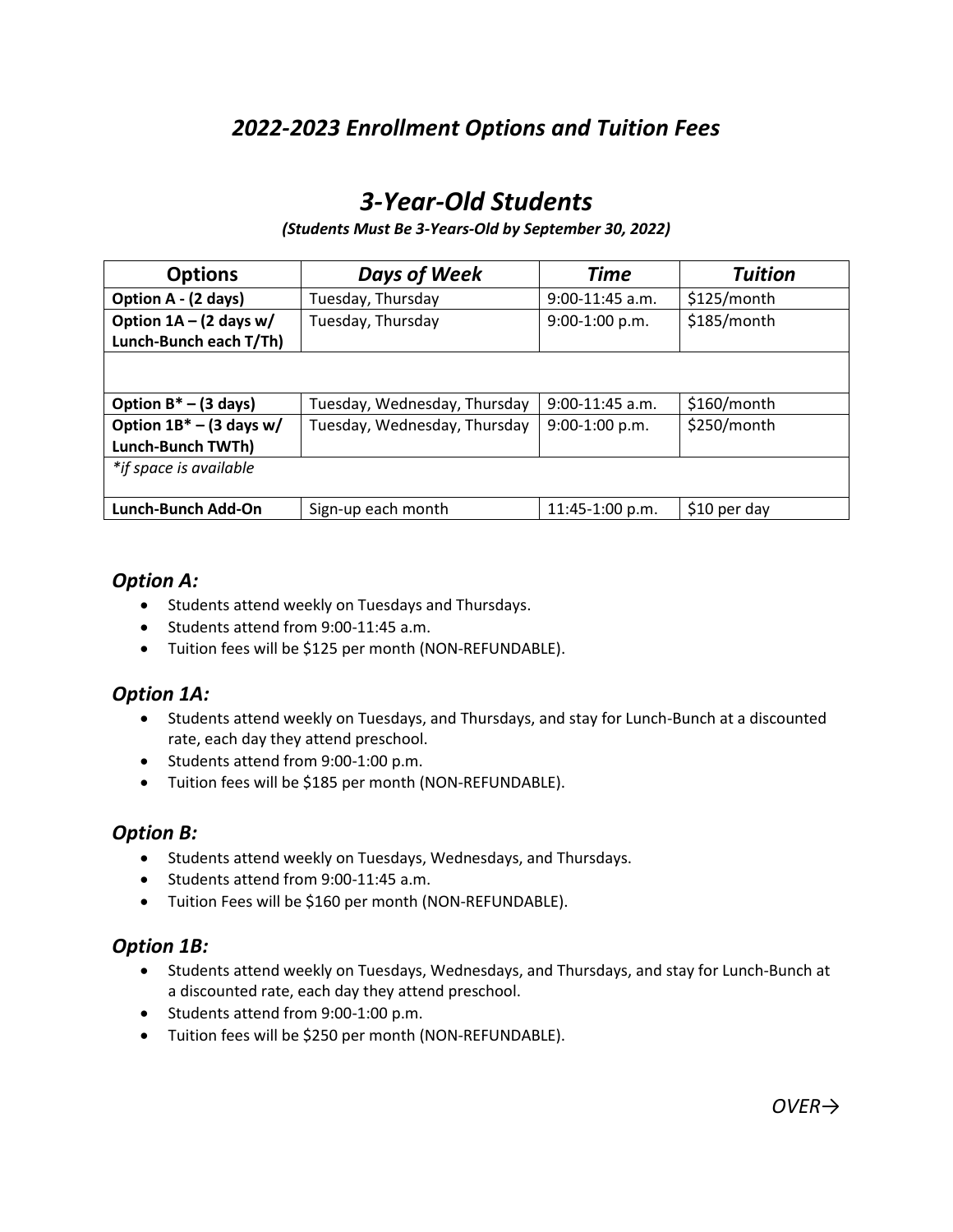## *2022-2023 Enrollment Options and Tuition Fees*

# *3-Year-Old Students*

#### *(Students Must Be 3-Years-Old by September 30, 2022)*

| <b>Options</b>             | <b>Days of Week</b>          | <b>Time</b>       | Tuition      |
|----------------------------|------------------------------|-------------------|--------------|
| Option A - (2 days)        | Tuesday, Thursday            | $9:00-11:45$ a.m. | \$125/month  |
| Option $1A - (2$ days w/   | Tuesday, Thursday            | 9:00-1:00 p.m.    | \$185/month  |
| Lunch-Bunch each T/Th)     |                              |                   |              |
|                            |                              |                   |              |
| Option $B^*$ – (3 days)    | Tuesday, Wednesday, Thursday | $9:00-11:45$ a.m. | \$160/month  |
| Option $1B^*$ – (3 days w/ | Tuesday, Wednesday, Thursday | 9:00-1:00 p.m.    | \$250/month  |
| Lunch-Bunch TWTh)          |                              |                   |              |
| *if space is available     |                              |                   |              |
| Lunch-Bunch Add-On         | Sign-up each month           | 11:45-1:00 p.m.   | \$10 per day |

### *Option A:*

- Students attend weekly on Tuesdays and Thursdays.
- Students attend from 9:00-11:45 a.m.
- Tuition fees will be \$125 per month (NON-REFUNDABLE).

### *Option 1A:*

- Students attend weekly on Tuesdays, and Thursdays, and stay for Lunch-Bunch at a discounted rate, each day they attend preschool.
- Students attend from 9:00-1:00 p.m.
- Tuition fees will be \$185 per month (NON-REFUNDABLE).

## *Option B:*

- Students attend weekly on Tuesdays, Wednesdays, and Thursdays.
- Students attend from 9:00-11:45 a.m.
- Tuition Fees will be \$160 per month (NON-REFUNDABLE).

### *Option 1B:*

- Students attend weekly on Tuesdays, Wednesdays, and Thursdays, and stay for Lunch-Bunch at a discounted rate, each day they attend preschool.
- Students attend from 9:00-1:00 p.m.
- Tuition fees will be \$250 per month (NON-REFUNDABLE).